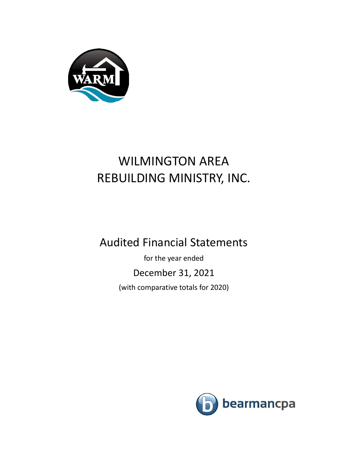

# WILMINGTON AREA REBUILDING MINISTRY, INC.

## Audited Financial Statements

for the year ended December 31, 2021 (with comparative totals for 2020)

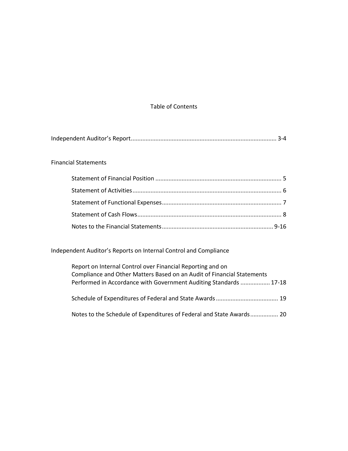## Table of Contents

|--|--|

#### Financial Statements

Independent Auditor's Reports on Internal Control and Compliance

| Report on Internal Control over Financial Reporting and on             |
|------------------------------------------------------------------------|
| Compliance and Other Matters Based on an Audit of Financial Statements |
| Performed in Accordance with Government Auditing Standards  17-18      |
|                                                                        |
| Notes to the Schedule of Expenditures of Federal and State Awards 20   |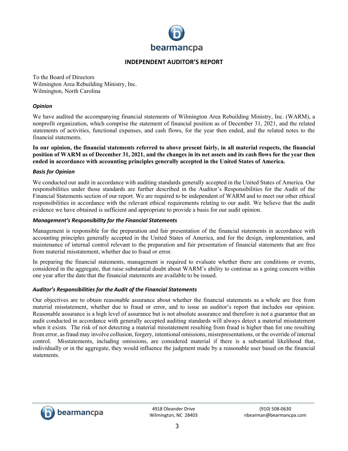

#### **INDEPENDENT AUDITOR'S REPORT**

To the Board of Directors Wilmington Area Rebuilding Ministry, Inc. Wilmington, North Carolina

#### **Opinion**

We have audited the accompanying financial statements of Wilmington Area Rebuilding Ministry, Inc. (WARM), a nonprofit organization, which comprise the statement of financial position as of December 31, 2021, and the related statements of activities, functional expenses, and cash flows, for the year then ended, and the related notes to the financial statements.

In our opinion, the financial statements referred to above present fairly, in all material respects, the financial position of WARM as of December 31, 2021, and the changes in its net assets and its cash flows for the year then ended in accordance with accounting principles generally accepted in the United States of America.

**Basis Formal State School State School State School State School Set Control Control Cyclone Cyclone Cyclone Cyclone Cyclonetes Wilmington Area Rebuilding Ministry, Inc.<br>
Wilmington, North Carolina<br>
We have audited the ac** We conducted our audit in accordance with auditing standards generally accepted in the United States of America. Our responsibilities under those standards are further described in the Auditor's Responsibilities for the Audit of the Financial Statements section of our report. We are required to be independent of WARM and to meet our other ethical responsibilities in accordance with the relevant ethical requirements relating to our audit. We believe that the audit evidence we have obtained is sufficient and appropriate to provide a basis for our audit opinion. To the board of Directors<br>
Wilmington Area Rebuilding Ministry, Inc.<br>
Wilmington Area Rebuilding Ministry, Inc.<br>
Wilmington, North Carolina<br>
Wilmington, North Carolina<br>
Wilmington, North Carolina<br>
compore of reganization,

Management is responsible for the preparation and fair presentation of the financial statements in accordance with accounting principles generally accepted in the United States of America, and for the design, implementation, and maintenance of internal control relevant to the preparation and fair presentation of financial statements that are free from material misstatement, whether due to fraud or error.

In preparing the financial statements, management is required to evaluate whether there are conditions or events, considered in the aggregate, that raise substantial doubt about WARM's ability to continue as a going concern within one year after the date that the financial statements are available to be issued.

doubt about WARM's ability to continue as a going concern within<br>s are available to be issued.<br> **ancial Statements**<br>
e about whether the financial statements as a whole are free from<br>
error, and to issue an auditor's repor ts are available to be issued.<br> **contained Statements**<br>
cc about whether the financial statements as a whole are free from<br>
error, and to issue an auditor's report that includes our opinion.<br>
but is not absolute assurance a going concern within<br>
a whole are free from<br>
: includes our opinion.<br>
not a guarantee that an<br>
material misstatement<br>
r than for one resulting<br>
the override of internal<br>
tantial likelihood that,<br>
based on the financial<br> In our opinion, the financial statements referred to above present fairly, in all material respects, the financial statements relationships of the Nuited States of America. Our opinion, the financial responses the audit i Our objectives are to obtain reasonable assurance about whether the financial statements as a whole are free from material misstatement, whether due to fraud or error, and to issue an auditor's report that includes our opinion. Reasonable assurance is a high level of assurance but is not absolute assurance and therefore is not a guarantee that an audit conducted in accordance with generally accepted auditing standards will always detect a material misstatement when it exists. The risk of not detecting a material misstatement resulting from fraud is higher than for one resulting from error, as fraud may involve collusion, forgery, intentional omissions, misrepresentations, or the override of internal control. Misstatements, including omissions, are considered material if there is a substantial likelihood that, individually or in the aggregate, they would influence the judgment made by a reasonable user based on the financial statements.

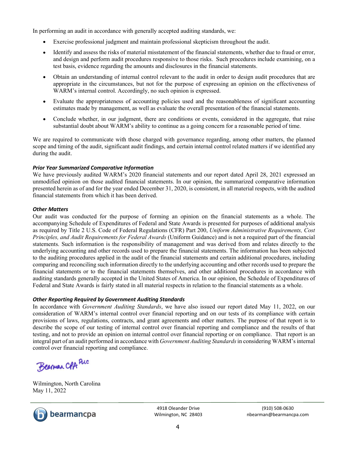In performing an audit in accordance with generally accepted auditing standards, we:

- Exercise professional judgment and maintain professional skepticism throughout the audit.
- Identify and assess the risks of material misstatement of the financial statements, whether due to fraud or error, and design and perform audit procedures responsive to those risks. Such procedures include examining, on a test basis, evidence regarding the amounts and disclosures in the financial statements.
- Obtain an understanding of internal control relevant to the audit in order to design audit procedures that are appropriate in the circumstances, but not for the purpose of expressing an opinion on the effectiveness of WARM's internal control. Accordingly, no such opinion is expressed.
- Evaluate the appropriateness of accounting policies used and the reasonableness of significant accounting estimates made by management, as well as evaluate the overall presentation of the financial statements.
- Conclude whether, in our judgment, there are conditions or events, considered in the aggregate, that raise substantial doubt about WARM's ability to continue as a going concern for a reasonable period of time.

We are required to communicate with those charged with governance regarding, among other matters, the planned scope and timing of the audit, significant audit findings, and certain internal control related matters if we identified any during the audit.

In performing an audit in accordance with generally accepted auditing standards, we:<br>
• Exercise professional judgment and maintain professional skepticism throughout the audit.<br>
• Identify and assess the risks of materia We have previously audited WARM's 2020 financial statements and our report dated April 28, 2021 expressed an unmodified opinion on those audited financial statements. In our opinion, the summarized comparative information presented herein as of and for the year ended December 31, 2020, is consistent, in all material respects, with the audited financial statements from which it has been derived.

**Column an** understanding of internal control relevant of the audit in order to Obstain an understanding of internal control relevant to the audit in order to exact appropriate in the circumstances, but not of the purpose Our audit was conducted for the purpose of forming an opinion on the financial statements as a whole. The accompanying Schedule of Expenditures of Federal and State Awards is presented for purposes of additional analysis as required by Title 2 U.S. Code of Federal Regulations (CFR) Part 200, Uniform Administrative Requirements, Cost Principles, and Audit Requirements for Federal Awards (Uniform Guidance) and is not a required part of the financial statements. Such information is the responsibility of management and was derived from and relates directly to the underlying accounting and other records used to prepare the financial statements. The information has been subjected to the auditing procedures applied in the audit of the financial statements and certain additional procedures, including comparing and reconciling such information directly to the underlying accounting and other records used to prepare the financial statements or to the financial statements themselves, and other additional procedures in accordance with auditing standards generally accepted in the United States of America. In our opinion, the Schedule of Expenditures of Federal and State Awards is fairly stated in all material respects in relation to the financial statements as a whole. **Prior Year Summarized Comparative Information**<br>We have previously audited WARM's 2020 financial statements and our report dated April 28, 2021 expressed an<br>We have previously audited WARM's 2020 financial statements. In

reading the metal of Expenditures of<br>the of Expenditures of<br>nents as a whole.<br>May 11, 2022, on our<br>mpliance with certain<br>se of that report is to<br>and the results of that<br>nce. That report is an<br>ring WARM's internal<br>(910) 508 To the underlying accounting and outer lectous used to prepare the themselves, and other additional procedures in accordance with States of America. In our opinion, the Schedule of Expenditures of States of America. In our s themselves, and other additional proceedures in accordance with<br>States of America. In our opinion, the Schedule of Expenditures of<br>reial respects in relation to the financial statements as a whole.<br> **g Standards**<br> **g Sta** In accordance with Government Auditing Standards, we have also issued our report dated May 11, 2022, on our consideration of WARM's internal control over financial reporting and on our tests of its compliance with certain provisions of laws, regulations, contracts, and grant agreements and other matters. The purpose of that report is to describe the scope of our testing of internal control over financial reporting and compliance and the results of that testing, and not to provide an opinion on internal control over financial reporting or on compliance. That report is an integral part of an audit performed in accordance with Government Auditing Standards in considering WARM's internal control over financial reporting and compliance.

Bearman CPA Puc

Wilmington, North Carolina May 11, 2022



nbearman@bearmancpa.com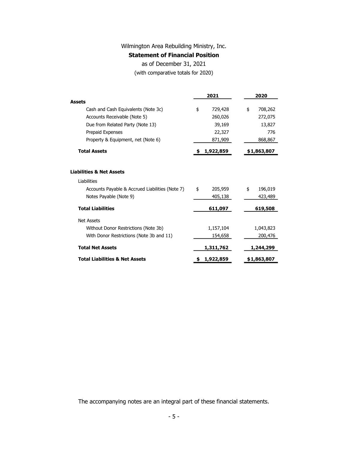#### Statement of Financial Position

| Wilmington Area Rebuilding Ministry, Inc.              |                   |                |
|--------------------------------------------------------|-------------------|----------------|
| <b>Statement of Financial Position</b>                 |                   |                |
| as of December 31, 2021                                |                   |                |
| (with comparative totals for 2020)                     |                   |                |
|                                                        |                   |                |
| <b>Assets</b>                                          | 2021              | 2020           |
| Cash and Cash Equivalents (Note 3c)                    | 729,428<br>\$     | \$<br>708,262  |
| Accounts Receivable (Note 5)                           | 260,026           | 272,075        |
| Due from Related Party (Note 13)                       | 39,169            | 13,827         |
| Prepaid Expenses<br>Property & Equipment, net (Note 6) | 22,327<br>871,909 | 776<br>868,867 |
| <b>Total Assets</b>                                    | \$1,922,859       | \$1,863,807    |
|                                                        |                   |                |
| <b>Liabilities &amp; Net Assets</b>                    |                   |                |
| Liabilities                                            |                   |                |
| Accounts Payable & Accrued Liabilities (Note 7)        | 205,959<br>\$     | 196,019<br>\$  |
| Notes Payable (Note 9)                                 | 405,138           | 423,489        |
| <b>Total Liabilities</b>                               | 611,097           | 619,508        |
| Net Assets                                             |                   |                |
| Without Donor Restrictions (Note 3b)                   | 1,157,104         | 1,043,823      |
| With Donor Restrictions (Note 3b and 11)               | 154,658           | 200,476        |
| <b>Total Net Assets</b>                                | 1,311,762         | 1,244,299      |
| <b>Total Liabilities &amp; Net Assets</b>              | \$1,922,859       | \$1,863,807    |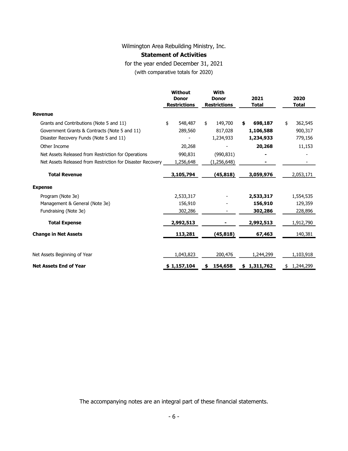#### Statement of Activities

| Wilmington Area Rebuilding Ministry, Inc.                  |                                     |                                     |                      |                      |
|------------------------------------------------------------|-------------------------------------|-------------------------------------|----------------------|----------------------|
|                                                            | <b>Statement of Activities</b>      |                                     |                      |                      |
| for the year ended December 31, 2021                       |                                     |                                     |                      |                      |
|                                                            | (with comparative totals for 2020)  |                                     |                      |                      |
|                                                            | <b>Without</b>                      | With                                |                      |                      |
|                                                            | <b>Donor</b><br><b>Restrictions</b> | <b>Donor</b><br><b>Restrictions</b> | 2021<br><b>Total</b> | 2020<br><b>Total</b> |
| <b>Revenue</b>                                             |                                     |                                     |                      |                      |
| Grants and Contributions (Note 5 and 11)                   | 548,487<br>\$                       | 149,700<br>\$                       | 698,187<br>\$        | 362,545<br>\$        |
| Government Grants & Contracts (Note 5 and 11)              | 289,560                             | 817,028                             | 1,106,588            | 900,317              |
| Disaster Recovery Funds (Note 5 and 11)                    |                                     | 1,234,933                           | 1,234,933            | 779,156              |
| Other Income                                               | 20,268                              |                                     | 20,268               | 11,153               |
| Net Assets Released from Restriction for Operations        | 990,831                             | (990, 831)                          |                      |                      |
| Net Assets Released from Restriction for Disaster Recovery | 1,256,648                           | (1, 256, 648)                       |                      |                      |
| <b>Total Revenue</b>                                       | 3,105,794                           | (45, 818)                           | 3,059,976            | 2,053,171            |
| <b>Expense</b>                                             |                                     |                                     |                      |                      |
| Program (Note 3e)                                          | 2,533,317                           |                                     | 2,533,317            | 1,554,535            |
| Management & General (Note 3e)                             | 156,910                             |                                     | 156,910              | 129,359              |
| Fundraising (Note 3e)                                      | 302,286                             |                                     | 302,286              | 228,896              |
| <b>Total Expense</b>                                       | 2,992,513                           |                                     | 2,992,513            | 1,912,790            |
| <b>Change in Net Assets</b>                                | 113,281                             | (45, 818)                           | 67,463               | 140,381              |
| Net Assets Beginning of Year                               | 1,043,823                           | 200,476                             | 1,244,299            | 1,103,918            |
|                                                            |                                     |                                     |                      |                      |
| <b>Net Assets End of Year</b>                              | \$1,157,104                         | \$154,658                           | \$1,311,762          | \$1,244,299          |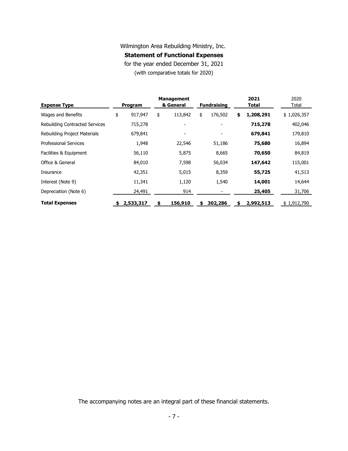#### Statement of Functional Expenses

|                                       |               | Wilmington Area Rebuilding Ministry, Inc. |                    |                 |             |
|---------------------------------------|---------------|-------------------------------------------|--------------------|-----------------|-------------|
|                                       |               | <b>Statement of Functional Expenses</b>   |                    |                 |             |
|                                       |               | for the year ended December 31, 2021      |                    |                 |             |
|                                       |               | (with comparative totals for 2020)        |                    |                 |             |
|                                       |               |                                           |                    |                 |             |
|                                       |               | <b>Management</b>                         |                    | 2021            | 2020        |
| <b>Expense Type</b>                   | Program       | & General                                 | <b>Fundraising</b> | Total           | Total       |
| Wages and Benefits                    | \$<br>917,947 | \$<br>113,842                             | \$<br>176,502      | \$<br>1,208,291 | \$1,026,357 |
| <b>Rebuilding Contracted Services</b> | 715,278       |                                           |                    | 715,278         | 402,046     |
|                                       | 679,841       |                                           |                    | 679,841         | 179,810     |
| Rebuilding Project Materials          |               |                                           |                    |                 |             |
| Professional Services                 | 1,948         | 22,546                                    | 51,186             | 75,680          | 16,894      |
| Facilities & Equipment                | 56,110        | 5,875                                     | 8,665              | 70,650          | 84,819      |
| Office & General                      | 84,010        | 7,598                                     | 56,034             | 147,642         | 115,001     |
| Insurance                             | 42,351        | 5,015                                     | 8,359              | 55,725          | 41,513      |
| Interest (Note 9)                     | 11,341        | 1,120                                     | 1,540              | 14,001          | 14,644      |
| Depreciation (Note 6)                 | 24,491        | 914                                       |                    | 25,405          | 31,706      |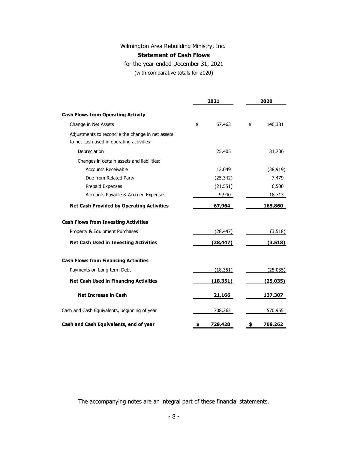#### Statement of Cash Flows

| Wilmington Area Rebuilding Ministry, Inc.                                                      |              |               |
|------------------------------------------------------------------------------------------------|--------------|---------------|
| <b>Statement of Cash Flows</b>                                                                 |              |               |
| for the year ended December 31, 2021                                                           |              |               |
| (with comparative totals for 2020)                                                             |              |               |
|                                                                                                |              |               |
|                                                                                                |              |               |
|                                                                                                | 2021         | 2020          |
| <b>Cash Flows from Operating Activity</b>                                                      |              |               |
| Change in Net Assets                                                                           | \$<br>67,463 | \$<br>140,381 |
| Adjustments to reconcile the change in net assets<br>to net cash used in operating activities: |              |               |
| Depreciation                                                                                   | 25,405       | 31,706        |
| Changes in certain assets and liabilities:                                                     |              |               |
| Accounts Receivable                                                                            | 12,049       | (38, 919)     |
| Due from Related Party                                                                         | (25, 342)    | 7,479         |
| Prepaid Expenses                                                                               | (21, 551)    | 6,500         |
| Accounts Payable & Accrued Expenses                                                            | 9,940        | 18,713        |
| <b>Net Cash Provided by Operating Activities</b>                                               | 67,964       | 165,860       |
| <b>Cash Flows from Investing Activities</b>                                                    |              |               |
| Property & Equipment Purchases                                                                 | (28, 447)    | (3, 518)      |
| <b>Net Cash Used in Investing Activities</b>                                                   | (28, 447)    | (3, 518)      |
|                                                                                                |              |               |
| <b>Cash Flows from Financing Activities</b>                                                    |              |               |
| Payments on Long-term Debt                                                                     | (18, 351)    | (25,035)      |
| <b>Net Cash Used in Financing Activities</b>                                                   | (18, 351)    | (25, 035)     |
| <b>Net Increase in Cash</b>                                                                    | 21,166       | 137,307       |
| Cash and Cash Equivalents, beginning of year                                                   | 708,262      | 570,955       |
| Cash and Cash Equivalents, end of year                                                         | 729,428      | \$<br>708,262 |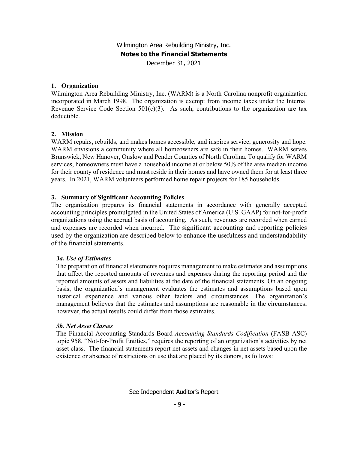#### 1. Organization

Wilmington Area Rebuilding Ministry, Inc. (WARM) is a North Carolina nonprofit organization incorporated in March 1998. The organization is exempt from income taxes under the Internal Revenue Service Code Section  $501(c)(3)$ . As such, contributions to the organization are tax deductible.

#### 2. Mission

WARM repairs, rebuilds, and makes homes accessible; and inspires service, generosity and hope. WARM envisions a community where all homeowners are safe in their homes. WARM serves Brunswick, New Hanover, Onslow and Pender Counties of North Carolina. To qualify for WARM services, homeowners must have a household income at or below 50% of the area median income for their county of residence and must reside in their homes and have owned them for at least three years. In 2021, WARM volunteers performed home repair projects for 185 households.

#### 3. Summary of Significant Accounting Policies

The organization prepares its financial statements in accordance with generally accepted accounting principles promulgated in the United States of America (U.S. GAAP) for not-for-profit organizations using the accrual basis of accounting. As such, revenues are recorded when earned and expenses are recorded when incurred. The significant accounting and reporting policies used by the organization are described below to enhance the usefulness and understandability of the financial statements.

#### 3a. Use of Estimates

The preparation of financial statements requires management to make estimates and assumptions that affect the reported amounts of revenues and expenses during the reporting period and the reported amounts of assets and liabilities at the date of the financial statements. On an ongoing basis, the organization's management evaluates the estimates and assumptions based upon historical experience and various other factors and circumstances. The organization's management believes that the estimates and assumptions are reasonable in the circumstances; however, the actual results could differ from those estimates.

#### 3b. Net Asset Classes

The Financial Accounting Standards Board Accounting Standards Codification (FASB ASC) topic 958, "Not-for-Profit Entities," requires the reporting of an organization's activities by net asset class. The financial statements report net assets and changes in net assets based upon the existence or absence of restrictions on use that are placed by its donors, as follows: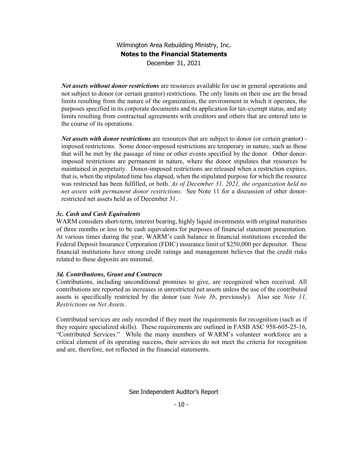Net assets without donor restrictions are resources available for use in general operations and not subject to donor (or certain grantor) restrictions. The only limits on their use are the broad limits resulting from the nature of the organization, the environment in which it operates, the purposes specified in its corporate documents and its application for tax-exempt status, and any limits resulting from contractual agreements with creditors and others that are entered into in the course of its operations.

Net assets with donor restrictions are resources that are subject to donor (or certain grantor) imposed restrictions. Some donor-imposed restrictions are temporary in nature, such as those that will be met by the passage of time or other events specified by the donor. Other donorimposed restrictions are permanent in nature, where the donor stipulates that resources be maintained in perpetuity. Donor-imposed restrictions are released when a restriction expires, that is, when the stipulated time has elapsed, when the stipulated purpose for which the resource was restricted has been fulfilled, or both. As of December 31, 2021, the organization held no net assets with permanent donor restrictions. See Note 11 for a discussion of other donorrestricted net assets held as of December 31.

#### 3c. Cash and Cash Equivalents

WARM considers short-term, interest bearing, highly liquid investments with original maturities of three months or less to be cash equivalents for purposes of financial statement presentation. At various times during the year, WARM's cash balance in financial institutions exceeded the Federal Deposit Insurance Corporation (FDIC) insurance limit of \$250,000 per depositor. These financial institutions have strong credit ratings and management believes that the credit risks related to these deposits are minimal.

#### 3d. Contributions, Grant and Contracts

Contributions, including unconditional promises to give, are recognized when received. All contributions are reported as increases in unrestricted net assets unless the use of the contributed assets is specifically restricted by the donor (see *Note 3b*, previously). Also see *Note 11*, Restrictions on Net Assets.<br>Contributed services are only recorded if they meet the requirements for recognition (such as if

they require specialized skills). These requirements are outlined in FASB ASC 958-605-25-16, "Contributed Services." While the many members of WARM's volunteer workforce are a critical element of its operating success, their services do not meet the criteria for recognition and are, therefore, not reflected in the financial statements.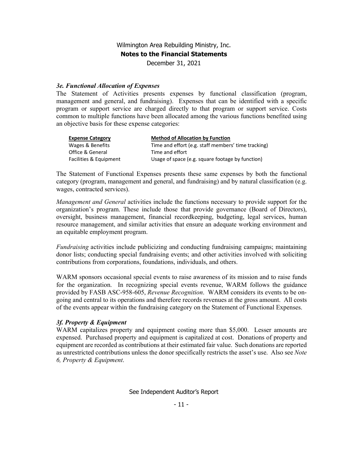Notes to the Financial Statements

December 31, 2021

#### 3e. Functional Allocation of Expenses

The Statement of Activities presents expenses by functional classification (program, management and general, and fundraising). Expenses that can be identified with a specific program or support service are charged directly to that program or support service. Costs common to multiple functions have been allocated among the various functions benefited using an objective basis for these expense categories: Wilmington Area Rebuilding Ministry, Inc.<br> **Notes to the Financial Statements**<br>
December 31, 2021<br>
Functional Allocation of Expenses<br>
Statement of Activities pressents expenses by functional classification (program,<br>
ageme Wilmington Area Rebuilding Ministry, Inc.<br> **Notes to the Financial Statements**<br>
December 31, 2021<br>
Punctional Allocation of Expenses<br>
Statement of Activities presents expenses by functional classification (program,<br>
eigeme Wilmington Area Rebuilding Ministry, Inc.<br> **Notes to the Financial Statements**<br>
December 31, 2021<br>
Cunctional Allocation of Expenses<br>
Statement of Activities presents expenses by functional classification (program,<br>
agemen **Example 19** Wilmington Area Rebuilding Ministry, Inc.<br> **Notes to the Financial Statements**<br>
December 31, 2021<br>
December 31, 2021<br>
Statement of Achvities presents<br>
expaced by functional classification (program,<br>
Statement

| <b>Expense Category</b> | <b>Method of Allocation by Function</b>             |
|-------------------------|-----------------------------------------------------|
| Wages & Benefits        | Time and effort (e.g. staff members' time tracking) |
| Office & General        | Time and effort                                     |
| Facilities & Equipment  | Usage of space (e.g. square footage by function)    |

The Statement of Functional Expenses presents these same expenses by both the functional category (program, management and general, and fundraising) and by natural classification (e.g. wages, contracted services).

Management and General activities include the functions necessary to provide support for the organization's program. These include those that provide governance (Board of Directors), oversight, business management, financial recordkeeping, budgeting, legal services, human resource management, and similar activities that ensure an adequate working environment and an equitable employment program.

Fundraising activities include publicizing and conducting fundraising campaigns; maintaining donor lists; conducting special fundraising events; and other activities involved with soliciting contributions from corporations, foundations, individuals, and others.

WARM sponsors occasional special events to raise awareness of its mission and to raise funds for the organization. In recognizing special events revenue, WARM follows the guidance provided by FASB ASC-958-605, Revenue Recognition. WARM considers its events to be ongoing and central to its operations and therefore records revenues at the gross amount. All costs of the events appear within the fundraising category on the Statement of Functional Expenses.

#### 3f. Property & Equipment

WARM capitalizes property and equipment costing more than \$5,000. Lesser amounts are expensed. Purchased property and equipment is capitalized at cost. Donations of property and equipment are recorded as contributions at their estimated fair value. Such donations are reported as unrestricted contributions unless the donor specifically restricts the asset's use. Also see Note 6, Property & Equipment.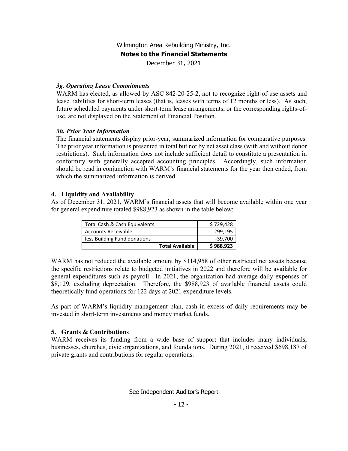#### Notes to the Financial Statements

December 31, 2021

#### 3g. Operating Lease Commitments

WARM has elected, as allowed by ASC 842-20-25-2, not to recognize right-of-use assets and lease liabilities for short-term leases (that is, leases with terms of 12 months or less). As such, future scheduled payments under short-term lease arrangements, or the corresponding rights-ofuse, are not displayed on the Statement of Financial Position.

#### 3h. Prior Year Information

The financial statements display prior-year, summarized information for comparative purposes. The prior year information is presented in total but not by net asset class (with and without donor restrictions). Such information does not include sufficient detail to constitute a presentation in conformity with generally accepted accounting principles. Accordingly, such information should be read in conjunction with WARM's financial statements for the year then ended, from which the summarized information is derived. **ing Lease Commitments**<br>
selected, as allowed by ASC 842-20-25-2, not to recognize right-of-use assets and<br>
selected, as allowed by ASC 842-20-25-2, not to recognize right-of-use assets and<br>
dities for short-term leases ( s elected, as allowed by ASC 842-20-25-2, not to recognize right-of-use assets and<br>s elected, as allowed by ASC 842-20-25-2, not to recognize right-of-use assets and<br>duled payments under short-term leases (that is, leases is the state of the state of the state of the state of the state of the state of the state and donations in the state of the statement of Financial Position.<br>
Hotel payments under short-term leases with terms of 12 months mateur and contained the remains of the corresponding rights-of-<br>term lease arrangements, or the corresponding rights-of-<br>of Financial Position.<br>year, summarized information for comparative purposes.<br>in total but not by ne

#### 4. Liquidity and Availability

As of December 31, 2021, WARM's financial assets that will become available within one year for general expenditure totaled \$988,923 as shown in the table below:

| Total Cash & Cash Equivalents | \$729,428                           |
|-------------------------------|-------------------------------------|
| Accounts Receivable           | 299.195                             |
| less Building Fund donations  | -39.700                             |
|                               | \$988,923<br><b>Total Available</b> |

WARM has not reduced the available amount by \$114,958 of other restricted net assets because the specific restrictions relate to budgeted initiatives in 2022 and therefore will be available for general expenditures such as payroll. In 2021, the organization had average daily expenses of \$8,129, excluding depreciation. Therefore, the \$988,923 of available financial assets could theoretically fund operations for 122 days at 2021 expenditure levels.

As part of WARM's liquidity management plan, cash in excess of daily requirements may be invested in short-term investments and money market funds.

#### 5. Grants & Contributions

WARM receives its funding from a wide base of support that includes many individuals, businesses, churches, civic organizations, and foundations. During 2021, it received \$698,187 of private grants and contributions for regular operations.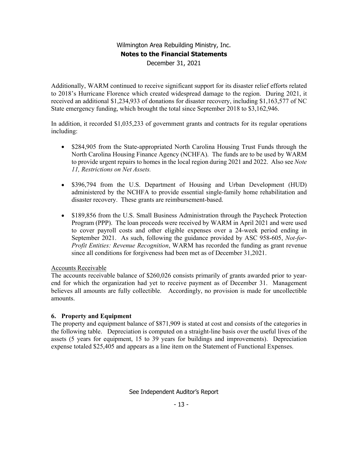Additionally, WARM continued to receive significant support for its disaster relief efforts related to 2018's Hurricane Florence which created widespread damage to the region. During 2021, it received an additional \$1,234,933 of donations for disaster recovery, including \$1,163,577 of NC State emergency funding, which brought the total since September 2018 to \$3,162,946.

In addition, it recorded \$1,035,233 of government grants and contracts for its regular operations including:

- \$284,905 from the State-appropriated North Carolina Housing Trust Funds through the North Carolina Housing Finance Agency (NCHFA). The funds are to be used by WARM to provide urgent repairs to homes in the local region during 2021 and 2022. Also see Note 11, Restrictions on Net Assets.
- \$396,794 from the U.S. Department of Housing and Urban Development (HUD) administered by the NCHFA to provide essential single-family home rehabilitation and disaster recovery. These grants are reimbursement-based.
- \$189,856 from the U.S. Small Business Administration through the Paycheck Protection Program (PPP). The loan proceeds were received by WARM in April 2021 and were used to cover payroll costs and other eligible expenses over a 24-week period ending in September 2021. As such, following the guidance provided by ASC 958-605, Not-for-Profit Entities: Revenue Recognition, WARM has recorded the funding as grant revenue since all conditions for forgiveness had been met as of December 31,2021.

#### Accounts Receivable

The accounts receivable balance of \$260,026 consists primarily of grants awarded prior to yearend for which the organization had yet to receive payment as of December 31. Management believes all amounts are fully collectible. Accordingly, no provision is made for uncollectible amounts.

#### 6. Property and Equipment

The property and equipment balance of \$871,909 is stated at cost and consists of the categories in the following table. Depreciation is computed on a straight-line basis over the useful lives of the assets (5 years for equipment, 15 to 39 years for buildings and improvements). Depreciation expense totaled \$25,405 and appears as a line item on the Statement of Functional Expenses.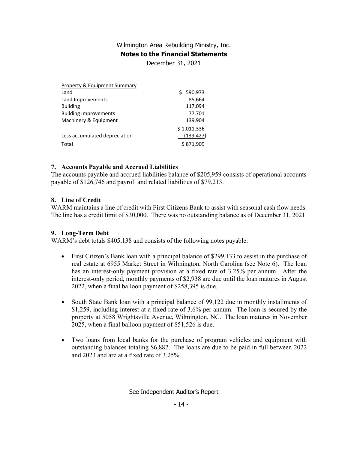#### Notes to the Financial Statements

|                                                 | Wilmington Area Rebuilding Ministry, Inc. |  |
|-------------------------------------------------|-------------------------------------------|--|
|                                                 | <b>Notes to the Financial Statements</b>  |  |
|                                                 | December 31, 2021                         |  |
|                                                 |                                           |  |
|                                                 |                                           |  |
| <b>Property &amp; Equipment Summary</b><br>Land | \$590,973                                 |  |
| Land Improvements                               | 85,664                                    |  |
| <b>Building</b>                                 | 117,094                                   |  |
| <b>Building Improvements</b>                    | 77,701                                    |  |
| Machinery & Equipment                           | 139,904                                   |  |
|                                                 | \$1,011,336                               |  |
| Less accumulated depreciation                   | (139, 427)                                |  |
| Total                                           | \$871,909                                 |  |
|                                                 |                                           |  |

#### 7. Accounts Payable and Accrued Liabilities

#### 8. Line of Credit

WARM maintains a line of credit with First Citizens Bank to assist with seasonal cash flow needs. The line has a credit limit of \$30,000. There was no outstanding balance as of December 31, 2021.

#### 9. Long-Term Debt

WARM's debt totals \$405,138 and consists of the following notes payable:

- First Citizen's Bank loan with a principal balance of \$299,133 to assist in the purchase of real estate at 6955 Market Street in Wilmington, North Carolina (see Note 6). The loan has an interest-only payment provision at a fixed rate of 3.25% per annum. After the interest-only period, monthly payments of \$2,938 are due until the loan matures in August 2022, when a final balloon payment of \$258,395 is due.
- South State Bank loan with a principal balance of 99,122 due in monthly installments of \$1,259, including interest at a fixed rate of 3.6% per annum. The loan is secured by the property at 5058 Wrightsville Avenue, Wilmington, NC. The loan matures in November 2025, when a final balloon payment of \$51,526 is due.
- Two loans from local banks for the purchase of program vehicles and equipment with outstanding balances totaling \$6,882. The loans are due to be paid in full between 2022 and 2023 and are at a fixed rate of 3.25%.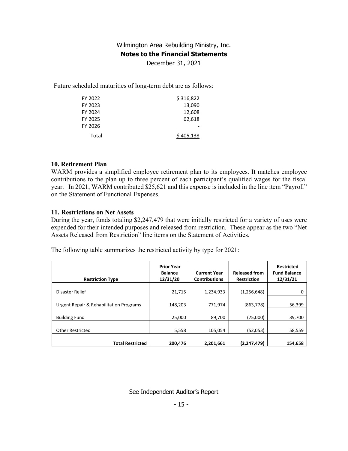Future scheduled maturities of long-term debt are as follows:

|         | Wilmington Area Rebuilding Ministry, Inc.           |  |
|---------|-----------------------------------------------------|--|
|         | <b>Notes to the Financial Statements</b>            |  |
|         | December 31, 2021                                   |  |
|         |                                                     |  |
|         |                                                     |  |
|         | eduled maturities of long-term debt are as follows: |  |
| FY 2022 | \$316,822                                           |  |
| FY 2023 | 13,090                                              |  |
| FY 2024 | 12,608                                              |  |
| FY 2025 | 62,618                                              |  |
| FY 2026 |                                                     |  |
| Total   | \$405,138                                           |  |
|         |                                                     |  |
|         |                                                     |  |
|         |                                                     |  |

#### 10. Retirement Plan

#### 11. Restrictions on Net Assets

| Total                                                                                                                                                                                                                                                                                                                                                                  | \$405,138         |                      |                      |                     |
|------------------------------------------------------------------------------------------------------------------------------------------------------------------------------------------------------------------------------------------------------------------------------------------------------------------------------------------------------------------------|-------------------|----------------------|----------------------|---------------------|
|                                                                                                                                                                                                                                                                                                                                                                        |                   |                      |                      |                     |
| 10. Retirement Plan<br>WARM provides a simplified employee retirement plan to its employees. It matches employee<br>contributions to the plan up to three percent of each participant's qualified wages for the fiscal<br>year. In 2021, WARM contributed \$25,621 and this expense is included in the line item "Payroll"<br>on the Statement of Functional Expenses. |                   |                      |                      |                     |
| 11. Restrictions on Net Assets                                                                                                                                                                                                                                                                                                                                         |                   |                      |                      |                     |
| During the year, funds totaling \$2,247,479 that were initially restricted for a variety of uses were                                                                                                                                                                                                                                                                  |                   |                      |                      |                     |
| expended for their intended purposes and released from restriction. These appear as the two "Net<br>Assets Released from Restriction" line items on the Statement of Activities.                                                                                                                                                                                       |                   |                      |                      |                     |
|                                                                                                                                                                                                                                                                                                                                                                        |                   |                      |                      |                     |
| The following table summarizes the restricted activity by type for 2021:                                                                                                                                                                                                                                                                                               |                   |                      |                      |                     |
|                                                                                                                                                                                                                                                                                                                                                                        |                   |                      |                      |                     |
|                                                                                                                                                                                                                                                                                                                                                                        | <b>Prior Year</b> |                      |                      | <b>Restricted</b>   |
|                                                                                                                                                                                                                                                                                                                                                                        | <b>Balance</b>    | <b>Current Year</b>  | <b>Released from</b> | <b>Fund Balance</b> |
| <b>Restriction Type</b>                                                                                                                                                                                                                                                                                                                                                | 12/31/20          | <b>Contributions</b> | Restriction          | 12/31/21            |
| Disaster Relief                                                                                                                                                                                                                                                                                                                                                        | 21,715            | 1,234,933            | (1, 256, 648)        | 0                   |
| <b>Urgent Repair &amp; Rehabilitation Programs</b>                                                                                                                                                                                                                                                                                                                     | 148,203           | 771,974              | (863, 778)           | 56,399              |
| <b>Building Fund</b>                                                                                                                                                                                                                                                                                                                                                   | 25,000            | 89,700               | (75,000)             | 39,700              |
| Other Restricted                                                                                                                                                                                                                                                                                                                                                       | 5,558             | 105,054              | (52,053)             | 58,559              |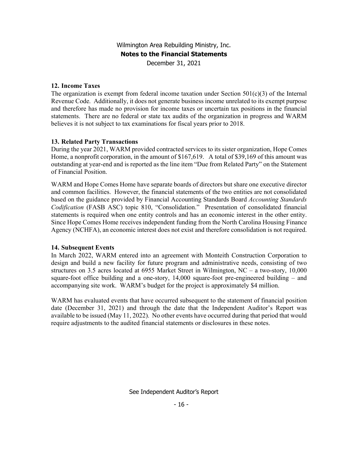#### 12. Income Taxes

The organization is exempt from federal income taxation under Section  $501(c)(3)$  of the Internal Revenue Code. Additionally, it does not generate business income unrelated to its exempt purpose and therefore has made no provision for income taxes or uncertain tax positions in the financial statements. There are no federal or state tax audits of the organization in progress and WARM believes it is not subject to tax examinations for fiscal years prior to 2018.

#### 13. Related Party Transactions

During the year 2021, WARM provided contracted services to its sister organization, Hope Comes Home, a nonprofit corporation, in the amount of \$167,619. A total of \$39,169 of this amount was outstanding at year-end and is reported as the line item "Due from Related Party" on the Statement of Financial Position.

WARM and Hope Comes Home have separate boards of directors but share one executive director and common facilities. However, the financial statements of the two entities are not consolidated based on the guidance provided by Financial Accounting Standards Board Accounting Standards Codification (FASB ASC) topic 810, "Consolidation." Presentation of consolidated financial statements is required when one entity controls and has an economic interest in the other entity. Since Hope Comes Home receives independent funding from the North Carolina Housing Finance Agency (NCHFA), an economic interest does not exist and therefore consolidation is not required.

#### 14. Subsequent Events

In March 2022, WARM entered into an agreement with Monteith Construction Corporation to design and build a new facility for future program and administrative needs, consisting of two structures on 3.5 acres located at 6955 Market Street in Wilmington,  $NC - a$  two-story, 10,000 square-foot office building and a one-story,  $14,000$  square-foot pre-engineered building  $-$  and accompanying site work. WARM's budget for the project is approximately \$4 million.

WARM has evaluated events that have occurred subsequent to the statement of financial position date (December 31, 2021) and through the date that the Independent Auditor's Report was available to be issued (May 11, 2022). No other events have occurred during that period that would require adjustments to the audited financial statements or disclosures in these notes.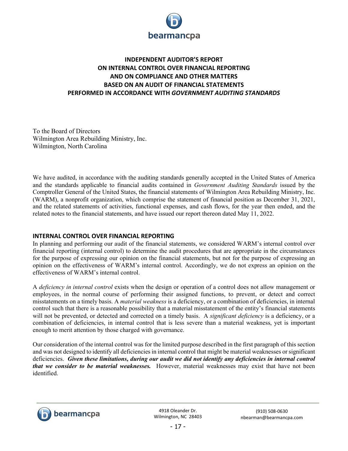

# INDEPENDENT AUDITOR'S REPORT **DEAL AND SEARCH CONTROL OVER FINANCIAL REPORT<br>
SEARCH CONTROL OVER FINANCIAL REPORTING<br>
AND ON COMPLIANCE AND OTHER MATTERS<br>
BASED ON AN AUDIT OF FINANCIAL STATEMENTS<br>
SED IN ACCORDANCE WITH** *GOVERNMENT AUDITING STANDARDS* AND ON COMPLIANCE AND OTHER MATTERS BASED ON AN AUDIT OF FINANCIAL STATEMENTS PERFORMED IN ACCORDANCE WITH GOVERNMENT AUDITING STANDARDS

To the Board of Directors Wilmington Area Rebuilding Ministry, Inc. Wilmington, North Carolina

We have audited, in accordance with the auditing standards generally accepted in the United States of America and the standards applicable to financial audits contained in *Government Auditing Standards* issued by the Comptroller General of the United States, the financial statements of Wilmington Area Rebuilding Ministry, Inc. (WARM), a nonprofit organization, which comprise the statement of financial position as December 31, 2021, and the related statements of activities, functional expenses, and cash flows, for the year then ended, and the related notes to the financial statements, and have issued our report thereon dated May 11, 2022.

#### INTERNAL CONTROL OVER FINANCIAL REPORTING

In planning and performing our audit of the financial statements, we considered WARM's internal control over financial reporting (internal control) to determine the audit procedures that are appropriate in the circumstances for the purpose of expressing our opinion on the financial statements, but not for the purpose of expressing an opinion on the effectiveness of WARM's internal control. Accordingly, we do not express an opinion on the effectiveness of WARM's internal control.

n or operation of a control does not allow management or<br>
ir assigned functions, to prevent, or detect and correct<br>
is a deficiency, or a combination of deficiencies, in internal<br>
material misstatement of the entity's fina A *deficiency in internal control* exists when the design or operation of a control does not allow management or employees, in the normal course of performing their assigned functions, to prevent, or detect and correct misstatements on a timely basis. A material weakness is a deficiency, or a combination of deficiencies, in internal control such that there is a reasonable possibility that a material misstatement of the entity's financial statements will not be prevented, or detected and corrected on a timely basis. A *significant deficiency* is a deficiency, or a combination of deficiencies, in internal control that is less severe than a material weakness, yet is important enough to merit attention by those charged with governance.

Our consideration of the internal control was for the limited purpose described in the first paragraph of this section and was not designed to identify all deficiencies in internal control that might be material weaknesses or significant deficiencies. Given these limitations, during our audit we did not identify any deficiencies in internal control that we consider to be material weaknesses. However, material weaknesses may exist that have not been identified.

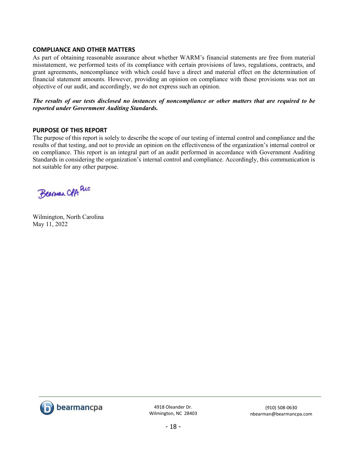#### COMPLIANCE AND OTHER MATTERS

**COMPLIANCE AND OTHER MATTERS**<br>As part of obtaining reasonable assurance about whether WARM's financial statements are free from material<br>misstatement, we performed tests of its compliance with certain provisions of laws, misstatement, we performed tests of its compliance with certain provisions of laws, regulations, contracts, and grant agreements, noncompliance with which could have a direct and material effect on the determination of financial statement amounts. However, providing an opinion on compliance with those provisions was not an objective of our audit, and accordingly, we do not express such an opinion.

#### The results of our tests disclosed no instances of noncompliance or other matters that are required to be reported under Government Auditing Standards.

#### PURPOSE OF THIS REPORT

The purpose of this report is solely to describe the scope of our testing of internal control and compliance and the results of that testing, and not to provide an opinion on the effectiveness of the organization's internal control or on compliance. This report is an integral part of an audit performed in accordance with Government Auditing Standards in considering the organization's internal control and compliance. Accordingly, this communication is not suitable for any other purpose.

Bearman CPA Puc

Wilmington, North Carolina May 11, 2022



4918 Oleander Dr. Wilmington, NC 28403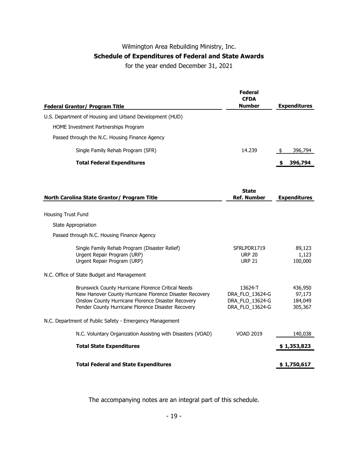### Schedule of Expenditures of Federal and State Awards

| <b>Schedule of Expenditures of Federal and State Awards</b>                                                   | Wilmington Area Rebuilding Ministry, Inc.<br>for the year ended December 31, 2021 |                              |                     |
|---------------------------------------------------------------------------------------------------------------|-----------------------------------------------------------------------------------|------------------------------|---------------------|
|                                                                                                               |                                                                                   |                              |                     |
|                                                                                                               |                                                                                   |                              |                     |
|                                                                                                               |                                                                                   |                              |                     |
|                                                                                                               |                                                                                   |                              |                     |
|                                                                                                               |                                                                                   |                              |                     |
|                                                                                                               |                                                                                   |                              |                     |
|                                                                                                               |                                                                                   |                              |                     |
|                                                                                                               |                                                                                   | <b>Federal</b>               |                     |
|                                                                                                               |                                                                                   | <b>CFDA</b>                  |                     |
| <b>Federal Grantor/ Program Title</b>                                                                         |                                                                                   | <b>Number</b>                | <b>Expenditures</b> |
| U.S. Department of Housing and Urband Development (HUD)                                                       |                                                                                   |                              |                     |
| HOME Investment Partnerships Program                                                                          |                                                                                   |                              |                     |
| Passed through the N.C. Housing Finance Agency                                                                |                                                                                   |                              |                     |
| Single Family Rehab Program (SFR)                                                                             |                                                                                   | 14.239                       | 396,794             |
| <b>Total Federal Expenditures</b>                                                                             |                                                                                   |                              | 396,794             |
|                                                                                                               |                                                                                   |                              |                     |
|                                                                                                               |                                                                                   |                              |                     |
|                                                                                                               |                                                                                   | <b>State</b>                 |                     |
| North Carolina State Grantor/ Program Title                                                                   |                                                                                   | <b>Ref. Number</b>           | <b>Expenditures</b> |
| Housing Trust Fund                                                                                            |                                                                                   |                              |                     |
|                                                                                                               |                                                                                   |                              |                     |
| State Appropriation                                                                                           |                                                                                   |                              |                     |
| Passed through N.C. Housing Finance Agency                                                                    |                                                                                   |                              |                     |
|                                                                                                               |                                                                                   |                              |                     |
| Single Family Rehab Program (Disaster Relief)<br>Urgent Repair Program (URP)                                  |                                                                                   | SFRLPDR1719<br><b>URP 20</b> | 89,123<br>1,123     |
| Urgent Repair Program (URP)                                                                                   |                                                                                   | <b>URP 21</b>                | 100,000             |
| N.C. Office of State Budget and Management                                                                    |                                                                                   |                              |                     |
|                                                                                                               |                                                                                   |                              |                     |
| Brunswick County Hurricane Florence Critical Needs<br>New Hanover County Hurricane Florence Disaster Recovery |                                                                                   | 13624-T<br>DRA_FLO_13624-G   | 436,950<br>97,173   |
| Onslow County Hurricane Florence Disaster Recovery                                                            |                                                                                   | DRA_FLO_13624-G              | 184,049             |
| Pender County Hurricane Florence Disaster Recovery                                                            |                                                                                   | DRA_FLO_13624-G              | 305,367             |
| N.C. Department of Public Safety - Emergency Management                                                       |                                                                                   |                              |                     |
| N.C. Voluntary Organization Assisting with Disasters (VOAD)                                                   |                                                                                   | <b>VOAD 2019</b>             | 140,038             |
| <b>Total State Expenditures</b>                                                                               |                                                                                   |                              | \$1,353,823         |
| <b>Total Federal and State Expenditures</b>                                                                   |                                                                                   |                              | \$1,750,617         |

The accompanying notes are an integral part of this schedule.